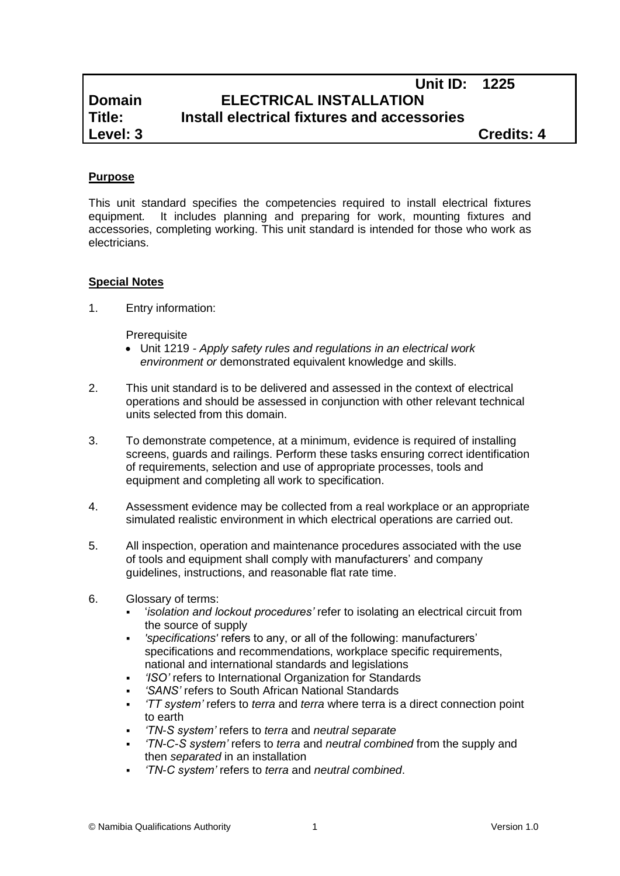# **Unit ID: 1225 Domain ELECTRICAL INSTALLATION Title: Install electrical fixtures and accessories Level: 3 Credits: 4**

## **Purpose**

This unit standard specifies the competencies required to install electrical fixtures equipment*.* It includes planning and preparing for work, mounting fixtures and accessories, completing working. This unit standard is intended for those who work as electricians.

## **Special Notes**

1. Entry information:

**Prerequisite** 

- Unit 1219 *- Apply safety rules and regulations in an electrical work environment or* demonstrated equivalent knowledge and skills.
- 2. This unit standard is to be delivered and assessed in the context of electrical operations and should be assessed in conjunction with other relevant technical units selected from this domain.
- 3. To demonstrate competence, at a minimum, evidence is required of installing screens, guards and railings. Perform these tasks ensuring correct identification of requirements, selection and use of appropriate processes, tools and equipment and completing all work to specification.
- 4. Assessment evidence may be collected from a real workplace or an appropriate simulated realistic environment in which electrical operations are carried out.
- 5. All inspection, operation and maintenance procedures associated with the use of tools and equipment shall comply with manufacturers' and company guidelines, instructions, and reasonable flat rate time.
- 6. Glossary of terms:
	- '*isolation and lockout procedures'* refer to isolating an electrical circuit from the source of supply
	- *'specifications'* refers to any, or all of the following: manufacturers' specifications and recommendations, workplace specific requirements, national and international standards and legislations
	- *'ISO'* refers to International Organization for Standards
	- *'SANS'* refers to South African National Standards
	- *'TT system'* refers to *terra* and *terra* where terra is a direct connection point to earth
	- *'TN-S system'* refers to *terra* and *neutral separate*
	- *'TN-C-S system'* refers to *terra* and *neutral combined* from the supply and then *separated* in an installation
	- *'TN-C system'* refers to *terra* and *neutral combined*.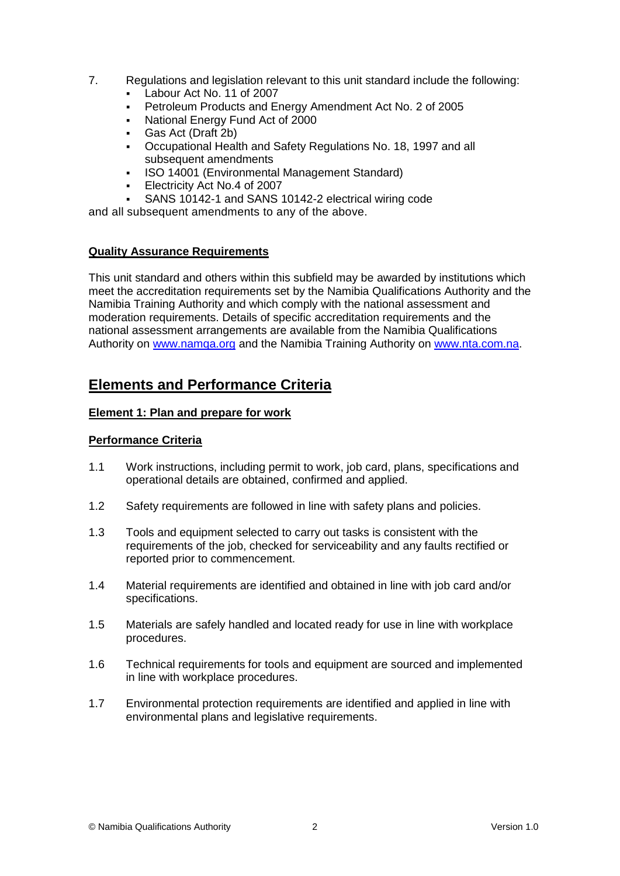- 7. Regulations and legislation relevant to this unit standard include the following:
	- Labour Act No. 11 of 2007
	- Petroleum Products and Energy Amendment Act No. 2 of 2005
	- National Energy Fund Act of 2000
	- Gas Act (Draft 2b)
	- Occupational Health and Safety Regulations No. 18, 1997 and all subsequent amendments
	- ISO 14001 (Environmental Management Standard)
	- Electricity Act No.4 of 2007
	- SANS 10142-1 and SANS 10142-2 electrical wiring code

and all subsequent amendments to any of the above.

### **Quality Assurance Requirements**

This unit standard and others within this subfield may be awarded by institutions which meet the accreditation requirements set by the Namibia Qualifications Authority and the Namibia Training Authority and which comply with the national assessment and moderation requirements. Details of specific accreditation requirements and the national assessment arrangements are available from the Namibia Qualifications Authority on [www.namqa.org](http://www.namqa.org/) and the Namibia Training Authority on [www.nta.com.na.](http://www.nta.com.na/)

# **Elements and Performance Criteria**

### **Element 1: Plan and prepare for work**

## **Performance Criteria**

- 1.1 Work instructions, including permit to work, job card, plans, specifications and operational details are obtained, confirmed and applied.
- 1.2 Safety requirements are followed in line with safety plans and policies.
- 1.3 Tools and equipment selected to carry out tasks is consistent with the requirements of the job, checked for serviceability and any faults rectified or reported prior to commencement.
- 1.4 Material requirements are identified and obtained in line with job card and/or specifications.
- 1.5 Materials are safely handled and located ready for use in line with workplace procedures.
- 1.6 Technical requirements for tools and equipment are sourced and implemented in line with workplace procedures.
- 1.7 Environmental protection requirements are identified and applied in line with environmental plans and legislative requirements.